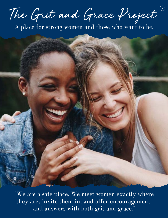The Grit and Grace Project

A place for strong women and those who want to be.

"We are a safe place. We meet women exactly where they are, invite them in, and offer encouragement and answers with both grit and grace."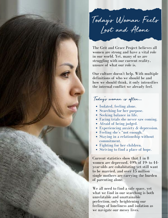Today ' s Woman Feels Lost and Alone

The Grit and Grace Project believes all women are strong and have a vital role in our world. Yet, many of us are struggling with our current reality, unsure of what our role is.

Our culture doesn't help. With multiple definitions of who we should be and how we should think, it only intensifies the internal conflict we already feel.

Today's woman is often...

- Isolated, feeling alone.
- Searching for her purpose.
- Seeking balance in life.
- Facing trials she never saw coming.
- Afraid of being judged.
- Experiencing anxiety & depression.
- Feeling she's "not enough."
- Staying in a relationship without commitment.
- Fighting for her children.
- Striving to find a place of hope.

Current statistics show that 1 in 8 women are depressed, 49% of 19- to 44 year-olds are cohabitating yet still want to be married, and over 15 million single mothers are carrying the burden of parenting alone.

We all need to find a safe space, yet what we find in our searching is both unrelatable and unattainable perfection, only heightening our feelings of loneliness and isolation as we navigate our messy lives.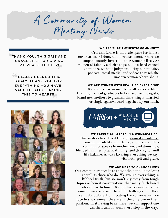A Community of Women Meeting Needs

#### WE ARE THAT AUTHENTIC COMMUNITY

Grit and Grace is that safe space for honest conversation, wisdom, and encouragement, where we compassionately invest in other women's lives. As women of faith, we desire to pass down hard-earned knowledge without judgment, using our website, podcast, social media, and videos to reach the modern woman where she is.

### WE ARE WOMEN WITH REAL LIFE EXPERIENCE

We are diverse women from all walks of lifefrom high school graduates to licensed psychologists, brand new mothers to grandmothers, single, married or single again—bound together by our faith.



## WE TACKLE ALL AREAS IN A WOMAN'S LIFE

Our writers have lived through <u>[domestic](https://thegritandgraceproject.org/relationships/why-i-share-my-story-of-healing-after-domestic-abuse) violence</u>, [suicide,](https://thegritandgraceproject.org/tag/suicide) [infidelity,](https://thegritandgraceproject.org/relationships/i-cheated-how-grace-changed-my-marriage-for-better) [infertility](https://thegritandgraceproject.org/life-and-culture/infertility-is-an-interruption-but-not-the-end), and [divorce.](https://thegritandgraceproject.org/faith/i-wanted-a-divorce-but-god-did-this-instead) This community speaks to [motherhood,](https://thegritandgraceproject.org/motherhood) [relationships](https://thegritandgraceproject.org/relationships), [blended](https://thegritandgraceproject.org/tag/blendedfamily) families, practical living, and (trying to find) life balance. Always layering everything we say with both grit and grace.

#### WE ARE HERE TO CHANGE LIVES

Our community speaks to those who don't know Jesus as well as those who do. We ground everything in Biblical truth, but we won't shy away from tough topics or honest conversations that many faith-based sites refuse to touch. We do this because we know women can rise above their life challenges, but they can't do it alone. By initiating the conversation, we hope to show women they aren't the only one in their position. That having been there, we will support one another, arm in arm, every step of the way.

THANK YOU, THIS GRIT AND GRACE LIFE, FOR GIVING ME REAL-LIFE HELP!

**OF REALLY NEEDED THIS** TODAY. THANK YOU FOR EVERYTHING YOU HAVE SAID. TOTALLY TAKING THIS TO HEART!

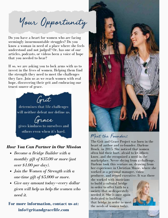Your Opportunity

Do you have a heart for women who are facing seemingly insurmountable struggles? Do you know a woman in need of a place where she feels understood and not judged? Or, has one of our articles, podcasts, or videos been a voice of hope that you needed to hear?

If so, we are asking you to lock arms with us to invest in the lives of women. Helping them find the strength they need to meet the challenges they face. Join us as we reach women with real hope, discovering their grit and embracing our truest source of grace.



## *How You Can Partner in Our Mission*

- *Become a Bridge Builder with a monthly gift of \$35.00 or more (just over \$1.00 per day).*
- *Join the Women of Strength with a one-time gift of \$5,000 or more.*
- *Give any amount today—every dollar given will help us help the women who need it.*

# **For more information, contact us at: info@gritandgracelife.com**



# Meet the Founder:

The Grit and Grace Project was born in the heart of author and co-founder, Darlene Brock, in 2015. She noticed that women often hid their hurt, afraid to let others know, and she recognized a need in the marketplace. Never shying from a challenge, Darlene took this venture on, drawing from her experience in Christian Music, where she worked as a personal manager, video producer, and record executive. It was there

she worked with musicians to build a cultural bridge in order to offer faith to a society that so desperately needed it. She is once again dedicated to building that bridge in order to meet the needs of women today.